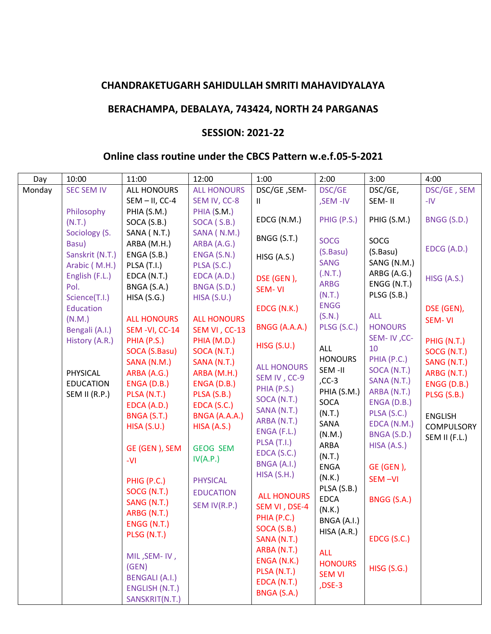## **CHANDRAKETUGARH SAHIDULLAH SMRITI MAHAVIDYALAYA**

## **BERACHAMPA, DEBALAYA, 743424, NORTH 24 PARGANAS**

## **SESSION: 2021-22**

## **Online class routine under the CBCS Pattern w.e.f.05-5-2021**

| Day    | 10:00             | 11:00                 | 12:00              | 1:00               | 2:00               | 3:00                       | 4:00           |
|--------|-------------------|-----------------------|--------------------|--------------------|--------------------|----------------------------|----------------|
| Monday | <b>SEC SEM IV</b> | ALL HONOURS           | <b>ALL HONOURS</b> | DSC/GE, SEM-       | DSC/GE             | DSC/GE,                    | DSC/GE, SEM    |
|        |                   | $SEM - II$ , CC-4     | SEM IV, CC-8       | $\mathbf{H}$       | ,SEM-IV            | SEM-II                     | $-IV$          |
|        | Philosophy        | PHIA (S.M.)           | PHIA (S.M.)        |                    |                    |                            |                |
|        | (N.T.)            | SOCA (S.B.)           | SOCA (S.B.)        | EDCG (N.M.)        | PHIG (P.S.)        | PHIG (S.M.)                | BNGG (S.D.)    |
|        | Sociology (S.     | SANA (N.T.)           | SANA (N.M.)        | BNGG (S.T.)        |                    |                            |                |
|        | Basu)             | ARBA (M.H.)           | ARBA (A.G.)        |                    | <b>SOCG</b>        | SOCG                       | EDCG (A.D.)    |
|        | Sanskrit (N.T.)   | ENGA (S.B.)           | ENGA (S.N.)        | <b>HISG (A.S.)</b> | (S.Basu)           | (S.Basu)                   |                |
|        | Arabic (M.H.)     | PLSA (T.I.)           | PLSA (S.C.)        |                    | <b>SANG</b>        | SANG (N.M.)                |                |
|        | English (F.L.)    | EDCA (N.T.)           | EDCA (A.D.)        | DSE (GEN),         | (N.T.)             | ARBG (A.G.)                | HISG (A.S.)    |
|        | Pol.              | BNGA (S.A.)           | BNGA (S.D.)        | <b>SEM-VI</b>      | <b>ARBG</b>        | ENGG (N.T.)                |                |
|        | Science(T.I.)     | HISA(S.G.)            | HISA(S.U.)         |                    | (N.T.)             | PLSG (S.B.)                |                |
|        | <b>Education</b>  |                       |                    | EDCG (N.K.)        | <b>ENGG</b>        |                            | DSE (GEN),     |
|        | (N.M.)            | <b>ALL HONOURS</b>    | <b>ALL HONOURS</b> |                    | (S.N.)             | <b>ALL</b>                 | <b>SEM-VI</b>  |
|        | Bengali (A.I.)    | SEM-VI, CC-14         | SEM VI, CC-13      | BNGG (A.A.A.)      | PLSG (S.C.)        | <b>HONOURS</b>             |                |
|        | History (A.R.)    | PHIA (P.S.)           | PHIA (M.D.)        | <b>HISG (S.U.)</b> |                    | SEM-IV, CC-                | PHIG (N.T.)    |
|        |                   | SOCA (S.Basu)         | SOCA (N.T.)        |                    | ALL                | 10                         | SOCG (N.T.)    |
|        |                   | SANA (N.M.)           | SANA (N.T.)        | <b>ALL HONOURS</b> | <b>HONOURS</b>     | PHIA (P.C.)                | SANG (N.T.)    |
|        | PHYSICAL          | ARBA (A.G.)           | ARBA (M.H.)        | SEM IV, CC-9       | SEM-II<br>$, CC-3$ | SOCA (N.T.)                | ARBG (N.T.)    |
|        | <b>EDUCATION</b>  | ENGA (D.B.)           | ENGA (D.B.)        | PHIA (P.S.)        | PHIA (S.M.)        | SANA (N.T.)                | ENGG (D.B.)    |
|        | SEM II (R.P.)     | PLSA (N.T.)           | PLSA (S.B.)        | SOCA (N.T.)        | SOCA               | ARBA (N.T.)<br>ENGA (D.B.) | PLSG (S.B.)    |
|        |                   | EDCA (A.D.)           | EDCA (S.C.)        | SANA (N.T.)        | (N.T.)             | PLSA (S.C.)                |                |
|        |                   | BNGA (S.T.)           | BNGA (A.A.A.)      | ARBA (N.T.)        | SANA               | EDCA (N.M.)                | <b>ENGLISH</b> |
|        |                   | HISA(S.U.)            | HISA (A.S.)        | ENGA (F.L.)        | (N.M.)             | BNGA (S.D.)                | COMPULSORY     |
|        |                   |                       |                    | PLSA (T.I.)        | ARBA               | HISA (A.S.)                | SEM II (F.L.)  |
|        |                   | GE (GEN), SEM         | <b>GEOG SEM</b>    | EDCA (S.C.)        | (N.T.)             |                            |                |
|        |                   | -VI                   | IV(A.P.)           | BNGA (A.I.)        | <b>ENGA</b>        | GE (GEN),                  |                |
|        |                   |                       |                    | HISA(S.H.)         | (N.K.)             | SEM-VI                     |                |
|        |                   | PHIG (P.C.)           | <b>PHYSICAL</b>    |                    | PLSA (S.B.)        |                            |                |
|        |                   | SOCG (N.T.)           | <b>EDUCATION</b>   | <b>ALL HONOURS</b> | <b>EDCA</b>        | BNGG (S.A.)                |                |
|        |                   | SANG (N.T.)           | SEM IV(R.P.)       | SEM VI, DSE-4      | (N.K.)             |                            |                |
|        |                   | ARBG (N.T.)           |                    | PHIA (P.C.)        | BNGA (A.I.)        |                            |                |
|        |                   | ENGG (N.T.)           |                    | SOCA (S.B.)        | HISA (A.R.)        |                            |                |
|        |                   | PLSG (N.T.)           |                    | SANA (N.T.)        |                    | EDCG (S.C.)                |                |
|        |                   |                       |                    | ARBA (N.T.)        | <b>ALL</b>         |                            |                |
|        |                   | MIL, SEM-IV,          |                    | ENGA (N.K.)        | <b>HONOURS</b>     |                            |                |
|        |                   | (GEN)                 |                    | PLSA (N.T.)        | <b>SEM VI</b>      | <b>HISG (S.G.)</b>         |                |
|        |                   | <b>BENGALI (A.I.)</b> |                    | EDCA (N.T.)        | $DSE-3$            |                            |                |
|        |                   | ENGLISH (N.T.)        |                    | BNGA (S.A.)        |                    |                            |                |
|        |                   | SANSKRIT(N.T.)        |                    |                    |                    |                            |                |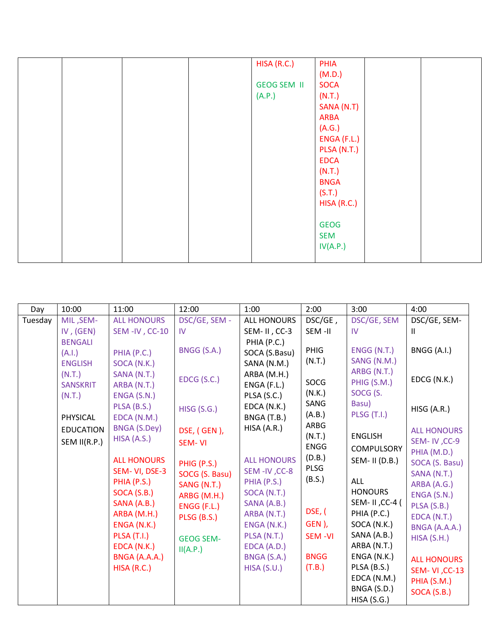|  | HISA (R.C.)        | PHIA        |  |
|--|--------------------|-------------|--|
|  |                    | (M.D.)      |  |
|  | <b>GEOG SEM II</b> | <b>SOCA</b> |  |
|  | (A.P.)             | (N.T.)      |  |
|  |                    | SANA (N.T)  |  |
|  |                    | <b>ARBA</b> |  |
|  |                    | (A.G.)      |  |
|  |                    | ENGA (F.L.) |  |
|  |                    | PLSA (N.T.) |  |
|  |                    | <b>EDCA</b> |  |
|  |                    | (N.T.)      |  |
|  |                    | <b>BNGA</b> |  |
|  |                    | (S.T.)      |  |
|  |                    | HISA (R.C.) |  |
|  |                    |             |  |
|  |                    | <b>GEOG</b> |  |
|  |                    | <b>SEM</b>  |  |
|  |                    | IV(A.P.)    |  |
|  |                    |             |  |

| Day     | 10:00                    | 11:00                      | 12:00              | 1:00                         | 2:00           | 3:00                              | 4:00                        |
|---------|--------------------------|----------------------------|--------------------|------------------------------|----------------|-----------------------------------|-----------------------------|
| Tuesday | MIL, SEM-                | <b>ALL HONOURS</b>         | DSC/GE, SEM -      | ALL HONOURS                  | DSC/GE,        | DSC/GE, SEM                       | DSC/GE, SEM-                |
|         | IV, $(GEN)$              | SEM-IV, CC-10              | IV                 | SEM-II, CC-3                 | SEM-II         | IV                                | Ш                           |
|         | <b>BENGALI</b>           |                            | BNGG (S.A.)        | PHIA (P.C.)                  | PHIG           | ENGG (N.T.)                       | BNGG (A.I.)                 |
|         | (A.I.)<br><b>ENGLISH</b> | PHIA (P.C.)<br>SOCA (N.K.) |                    | SOCA (S.Basu)<br>SANA (N.M.) | (N.T.)         | SANG (N.M.)                       |                             |
|         | (N.T.)                   | SANA (N.T.)                |                    | ARBA (M.H.)                  |                | ARBG (N.T.)                       |                             |
|         | <b>SANSKRIT</b>          | ARBA (N.T.)                | EDCG (S.C.)        | ENGA (F.L.)                  | SOCG           | PHIG (S.M.)                       | EDCG (N.K.)                 |
|         | (N.T.)                   | ENGA (S.N.)                |                    | PLSA (S.C.)                  | (N.K.)         | SOCG (S.                          |                             |
|         |                          | PLSA (B.S.)                | <b>HISG (S.G.)</b> | EDCA (N.K.)                  | SANG           | Basu)                             | HISG (A.R.)                 |
|         | PHYSICAL                 | EDCA (N.M.)                |                    | BNGA (T.B.)                  | (A.B.)         | <b>PLSG (T.I.)</b>                |                             |
|         | <b>EDUCATION</b>         | <b>BNGA (S.Dey)</b>        | DSE, (GEN),        | HISA (A.R.)                  | ARBG           |                                   | <b>ALL HONOURS</b>          |
|         | SEM II(R.P.)             | HISA (A.S.)                | SEM-VI             |                              | (N.T.)         | <b>ENGLISH</b>                    | SEM-IV, CC-9                |
|         |                          |                            |                    |                              | <b>ENGG</b>    | COMPULSORY                        | PHIA (M.D.)                 |
|         |                          | <b>ALL HONOURS</b>         | PHIG (P.S.)        | <b>ALL HONOURS</b>           | (D.B.)         | SEM- II (D.B.)                    | SOCA (S. Basu)              |
|         |                          | SEM-VI, DSE-3              | SOCG (S. Basu)     | SEM-IV, CC-8                 | PLSG<br>(B.S.) |                                   | SANA (N.T.)                 |
|         |                          | PHIA (P.S.)                | SANG (N.T.)        | PHIA (P.S.)                  |                | ALL                               | ARBA (A.G.)                 |
|         |                          | SOCA (S.B.)<br>SANA (A.B.) | ARBG (M.H.)        | SOCA (N.T.)<br>SANA (A.B.)   |                | <b>HONOURS</b><br>SEM- II, CC-4 ( | ENGA (S.N.)                 |
|         |                          | ARBA (M.H.)                | ENGG (F.L.)        | ARBA (N.T.)                  | DSE, (         | PHIA (P.C.)                       | PLSA (S.B.)                 |
|         |                          | ENGA (N.K.)                | <b>PLSG (B.S.)</b> | ENGA (N.K.)                  | GEN),          | SOCA (N.K.)                       | EDCA (N.T.)                 |
|         |                          | <b>PLSA (T.I.)</b>         | <b>GEOG SEM-</b>   | PLSA (N.T.)                  | <b>SEM-VI</b>  | SANA (A.B.)                       | BNGA (A.A.A.)<br>HISA(S.H.) |
|         |                          | EDCA (N.K.)                | II(A.P.)           | EDCA (A.D.)                  |                | ARBA (N.T.)                       |                             |
|         |                          | BNGA (A.A.A.)              |                    | BNGA (S.A.)                  | <b>BNGG</b>    | ENGA (N.K.)                       | <b>ALL HONOURS</b>          |
|         |                          | HISA(R.C.)                 |                    | HISA(S.U.)                   | (T.B.)         | PLSA (B.S.)                       | <b>SEM-VI, CC-13</b>        |
|         |                          |                            |                    |                              |                | EDCA (N.M.)                       | PHIA (S.M.)                 |
|         |                          |                            |                    |                              |                | BNGA (S.D.)                       | SOCA (S.B.)                 |
|         |                          |                            |                    |                              |                | HISA(S.G.)                        |                             |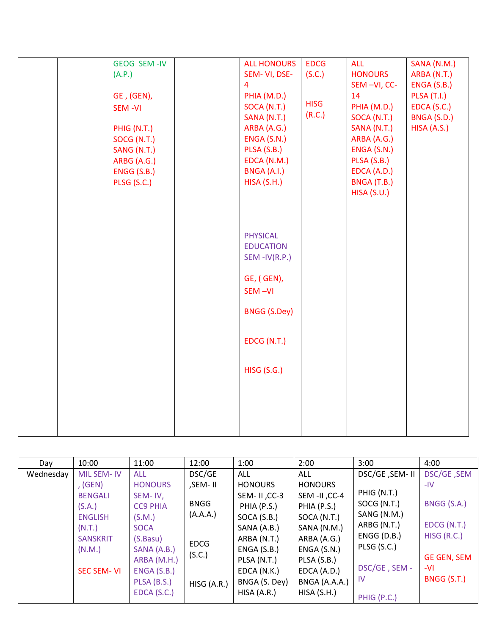|  | GEOG SEM-IV   | <b>ALL HONOURS</b>  | <b>EDCG</b> | <b>ALL</b>     | SANA (N.M.)        |
|--|---------------|---------------------|-------------|----------------|--------------------|
|  | (A.P.)        | SEM-VI, DSE-        | (S.C.)      | <b>HONOURS</b> | ARBA (N.T.)        |
|  |               | $\overline{4}$      |             | SEM-VI, CC-    | ENGA (S.B.)        |
|  | GE, (GEN),    | PHIA (M.D.)         |             | 14             | <b>PLSA (T.I.)</b> |
|  | <b>SEM-VI</b> | SOCA (N.T.)         | <b>HISG</b> | PHIA (M.D.)    | EDCA (S.C.)        |
|  |               | SANA (N.T.)         | (R.C.)      | SOCA (N.T.)    | BNGA (S.D.)        |
|  | PHIG (N.T.)   | ARBA (A.G.)         |             | SANA (N.T.)    | HISA (A.S.)        |
|  | SOCG (N.T.)   | ENGA (S.N.)         |             | ARBA (A.G.)    |                    |
|  | SANG (N.T.)   | PLSA (S.B.)         |             | ENGA (S.N.)    |                    |
|  | ARBG (A.G.)   | EDCA (N.M.)         |             | PLSA (S.B.)    |                    |
|  | ENGG (S.B.)   | BNGA (A.I.)         |             | EDCA (A.D.)    |                    |
|  | PLSG (S.C.)   | HISA (S.H.)         |             | BNGA (T.B.)    |                    |
|  |               |                     |             | HISA(S.U.)     |                    |
|  |               |                     |             |                |                    |
|  |               |                     |             |                |                    |
|  |               |                     |             |                |                    |
|  |               | <b>PHYSICAL</b>     |             |                |                    |
|  |               | <b>EDUCATION</b>    |             |                |                    |
|  |               | $SEM$ -IV(R.P.)     |             |                |                    |
|  |               |                     |             |                |                    |
|  |               | GE, (GEN),          |             |                |                    |
|  |               | SEM-VI              |             |                |                    |
|  |               |                     |             |                |                    |
|  |               | <b>BNGG (S.Dey)</b> |             |                |                    |
|  |               |                     |             |                |                    |
|  |               | EDCG (N.T.)         |             |                |                    |
|  |               |                     |             |                |                    |
|  |               |                     |             |                |                    |
|  |               | <b>HISG (S.G.)</b>  |             |                |                    |
|  |               |                     |             |                |                    |
|  |               |                     |             |                |                    |
|  |               |                     |             |                |                    |
|  |               |                     |             |                |                    |
|  |               |                     |             |                |                    |
|  |               |                     |             |                |                    |

| Day       | 10:00             | 11:00           | 12:00       | 1:00           | 2:00           | 3:00           | 4:00               |
|-----------|-------------------|-----------------|-------------|----------------|----------------|----------------|--------------------|
| Wednesday | <b>MIL SEM-IV</b> | <b>ALL</b>      | DSC/GE      | <b>ALL</b>     | ALL            | DSC/GE, SEM-II | DSC/GE, SEM        |
|           | , (GEN)           | <b>HONOURS</b>  | ,SEM- II    | <b>HONOURS</b> | <b>HONOURS</b> |                | -IV                |
|           | <b>BENGALI</b>    | SEM-IV,         |             | SEM-II, CC-3   | SEM -II, CC-4  | PHIG (N.T.)    |                    |
|           | (S.A.)            | <b>CC9 PHIA</b> | <b>BNGG</b> | PHIA (P.S.)    | PHIA (P.S.)    | SOCG (N.T.)    | BNGG (S.A.)        |
|           | <b>ENGLISH</b>    | (S.M.)          | (A.A.A.)    | SOCA (S.B.)    | SOCA (N.T.)    | SANG (N.M.)    |                    |
|           | (N.T.)            | <b>SOCA</b>     |             | SANA (A.B.)    | SANA (N.M.)    | ARBG (N.T.)    | EDCG (N.T.)        |
|           | <b>SANSKRIT</b>   | (S.Basu)        |             | ARBA (N.T.)    | ARBA (A.G.)    | $ENGG$ (D.B.)  | HISG (R.C.)        |
|           | (N.M.)            | SANA (A.B.)     | <b>EDCG</b> | ENGA(S.B.)     | ENGA(S.N.)     | PLSG (S.C.)    |                    |
|           |                   | ARBA (M.H.)     | (S.C.)      | PLSA (N.T.)    | PLSA (S.B.)    |                | <b>GE GEN, SEM</b> |
|           | <b>SEC SEM-VI</b> | ENGA (S.B.)     |             | EDCA (N.K.)    | EDCA (A.D.)    | DSC/GE, SEM -  | -VI                |
|           |                   | PLSA (B.S.)     | HISG (A.R.) | BNGA (S. Dey)  | BNGA (A.A.A.)  | -IV            | BNGG (S.T.)        |
|           |                   | EDCA(S.C.)      |             | HISA (A.R.)    | HISA(S.H.)     | PHIG (P.C.)    |                    |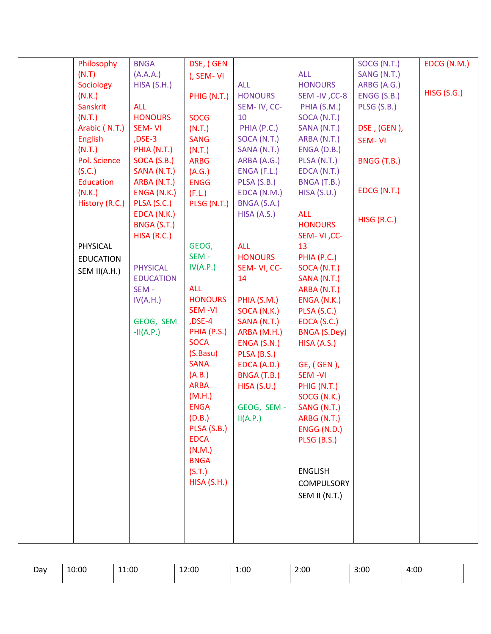| Philosophy       | <b>BNGA</b>      | DSE, (GEN          |                |                     | SOCG (N.T.)   | EDCG (N.M.)        |
|------------------|------------------|--------------------|----------------|---------------------|---------------|--------------------|
| (N.T)            | (A.A.A.)         | ), SEM-VI          |                | <b>ALL</b>          | SANG (N.T.)   |                    |
| Sociology        | HISA(S.H.)       |                    | ALL            | <b>HONOURS</b>      | ARBG (A.G.)   |                    |
| (N.K.)           |                  | PHIG (N.T.)        | <b>HONOURS</b> | SEM-IV, CC-8        | ENGG (S.B.)   | <b>HISG (S.G.)</b> |
| Sanskrit         | <b>ALL</b>       |                    | SEM-IV, CC-    | PHIA (S.M.)         | PLSG (S.B.)   |                    |
| (N.T.)           | <b>HONOURS</b>   | <b>SOCG</b>        | 10             | SOCA (N.T.)         |               |                    |
| Arabic (N.T.)    | SEM-VI           | (N.T.)             | PHIA (P.C.)    | SANA (N.T.)         | DSE, (GEN),   |                    |
| <b>English</b>   | $DSE-3$          | <b>SANG</b>        | SOCA (N.T.)    | ARBA (N.T.)         | <b>SEM-VI</b> |                    |
| (N.T.)           | PHIA (N.T.)      | (N.T.)             | SANA (N.T.)    | ENGA (D.B.)         |               |                    |
| Pol. Science     | SOCA (S.B.)      | <b>ARBG</b>        | ARBA (A.G.)    | PLSA (N.T.)         | BNGG (T.B.)   |                    |
| (S.C.)           | SANA (N.T.)      | (A.G.)             | ENGA (F.L.)    | EDCA (N.T.)         |               |                    |
| <b>Education</b> | ARBA (N.T.)      | <b>ENGG</b>        | PLSA (S.B.)    | BNGA (T.B.)         |               |                    |
| (N.K.)           | ENGA (N.K.)      | (F.L.)             | EDCA (N.M.)    | HISA(S.U.)          | EDCG (N.T.)   |                    |
| History (R.C.)   | PLSA (S.C.)      | PLSG (N.T.)        | BNGA (S.A.)    |                     |               |                    |
|                  | EDCA (N.K.)      |                    | HISA (A.S.)    | <b>ALL</b>          | HISG (R.C.)   |                    |
|                  | BNGA (S.T.)      |                    |                | <b>HONOURS</b>      |               |                    |
|                  | HISA(R.C.)       |                    |                | SEM-VI, CC-         |               |                    |
| PHYSICAL         |                  | GEOG,              | <b>ALL</b>     | 13                  |               |                    |
| <b>EDUCATION</b> |                  | SEM-               | <b>HONOURS</b> | PHIA (P.C.)         |               |                    |
| SEM II(A.H.)     | <b>PHYSICAL</b>  | IV(A.P.)           | SEM-VI, CC-    | SOCA (N.T.)         |               |                    |
|                  | <b>EDUCATION</b> |                    | 14             | SANA (N.T.)         |               |                    |
|                  | SEM-             | <b>ALL</b>         |                | ARBA (N.T.)         |               |                    |
|                  | IV(A.H.)         | <b>HONOURS</b>     | PHIA (S.M.)    | ENGA (N.K.)         |               |                    |
|                  |                  | SEM-VI             | SOCA (N.K.)    | PLSA (S.C.)         |               |                    |
|                  | GEOG, SEM        | $DSE-4$            | SANA (N.T.)    | EDCA (S.C.)         |               |                    |
|                  | $-II(A.P.)$      | PHIA (P.S.)        | ARBA (M.H.)    | <b>BNGA (S.Dey)</b> |               |                    |
|                  |                  | <b>SOCA</b>        | ENGA (S.N.)    | HISA (A.S.)         |               |                    |
|                  |                  | (S.Basu)           | PLSA (B.S.)    |                     |               |                    |
|                  |                  | <b>SANA</b>        | EDCA (A.D.)    | GE, (GEN),          |               |                    |
|                  |                  | (A.B.)             | BNGA (T.B.)    | <b>SEM-VI</b>       |               |                    |
|                  |                  | <b>ARBA</b>        | HISA(S.U.)     | PHIG (N.T.)         |               |                    |
|                  |                  | (M.H.)             |                | SOCG (N.K.)         |               |                    |
|                  |                  | <b>ENGA</b>        | GEOG, SEM -    | SANG (N.T.)         |               |                    |
|                  |                  | (D.B.)             | II(A.P.)       | ARBG (N.T.)         |               |                    |
|                  |                  | PLSA (S.B.)        |                | ENGG (N.D.)         |               |                    |
|                  |                  | <b>EDCA</b>        |                | PLSG (B.S.)         |               |                    |
|                  |                  | (N.M.)             |                |                     |               |                    |
|                  |                  | <b>BNGA</b>        |                | <b>ENGLISH</b>      |               |                    |
|                  |                  | (S.T.)             |                |                     |               |                    |
|                  |                  | <b>HISA (S.H.)</b> |                | COMPULSORY          |               |                    |
|                  |                  |                    |                | SEM II (N.T.)       |               |                    |
|                  |                  |                    |                |                     |               |                    |
|                  |                  |                    |                |                     |               |                    |
|                  |                  |                    |                |                     |               |                    |
|                  |                  |                    |                |                     |               |                    |

| Dav | 10:00 | 11:00 | 12:00<br>$\sim$ | 1:00 | 2:00<br>$\sim$ | 3:00 | 4:00 |
|-----|-------|-------|-----------------|------|----------------|------|------|
|-----|-------|-------|-----------------|------|----------------|------|------|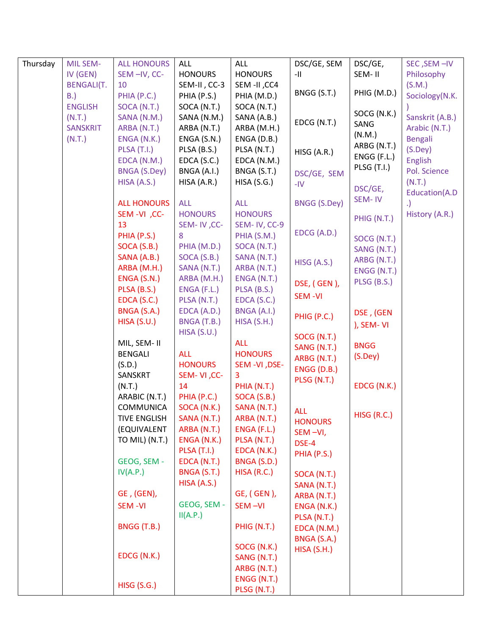| Thursday | <b>MIL SEM-</b>   | <b>ALL HONOURS</b>  | <b>ALL</b>         | <b>ALL</b>     | DSC/GE, SEM         | DSC/GE,            | SEC, SEM-IV     |
|----------|-------------------|---------------------|--------------------|----------------|---------------------|--------------------|-----------------|
|          | IV (GEN)          | SEM-IV, CC-         | <b>HONOURS</b>     | <b>HONOURS</b> | -11                 | SEM-II             | Philosophy      |
|          | <b>BENGALI(T.</b> | 10                  | SEM-II, CC-3       | SEM -II, CC4   |                     |                    | (S.M.)          |
|          | B.                | PHIA (P.C.)         | PHIA (P.S.)        | PHIA (M.D.)    | BNGG (S.T.)         | PHIG (M.D.)        | Sociology(N.K.  |
|          | <b>ENGLISH</b>    | SOCA (N.T.)         | SOCA (N.T.)        | SOCA (N.T.)    |                     |                    |                 |
|          | (N.T.)            | SANA (N.M.)         | SANA (N.M.)        | SANA (A.B.)    |                     | SOCG (N.K.)        | Sanskrit (A.B.) |
|          | <b>SANSKRIT</b>   | ARBA (N.T.)         | ARBA (N.T.)        | ARBA (M.H.)    | EDCG (N.T.)         | SANG               | Arabic (N.T.)   |
|          | (N.T.)            | ENGA (N.K.)         | ENGA (S.N.)        | ENGA (D.B.)    |                     | (N.M.)             | <b>Bengali</b>  |
|          |                   | PLSA (T.I.)         | PLSA (B.S.)        | PLSA (N.T.)    | HISG (A.R.)         | ARBG (N.T.)        | $(S.$ Dey $)$   |
|          |                   | EDCA (N.M.)         | EDCA(S.C.)         | EDCA (N.M.)    |                     | ENGG (F.L.)        | English         |
|          |                   | <b>BNGA (S.Dey)</b> | BNGA (A.I.)        | BNGA (S.T.)    | DSC/GE, SEM         | <b>PLSG (T.I.)</b> | Pol. Science    |
|          |                   | HISA (A.S.)         | HISA (A.R.)        | HISA(S.G.)     | $-IV$               |                    | (N.T.)          |
|          |                   |                     |                    |                |                     | DSC/GE,            | Education(A.D   |
|          |                   | <b>ALL HONOURS</b>  | <b>ALL</b>         | <b>ALL</b>     | <b>BNGG (S.Dey)</b> | SEM-IV             |                 |
|          |                   | SEM-VI, CC-         | <b>HONOURS</b>     | <b>HONOURS</b> |                     | PHIG (N.T.)        | History (A.R.)  |
|          |                   | 13                  | SEM-IV, CC-        | SEM-IV, CC-9   |                     |                    |                 |
|          |                   | PHIA (P.S.)         | 8                  | PHIA (S.M.)    | EDCG (A.D.)         | SOCG (N.T.)        |                 |
|          |                   | SOCA (S.B.)         | PHIA (M.D.)        | SOCA (N.T.)    |                     | SANG (N.T.)        |                 |
|          |                   | SANA (A.B.)         | SOCA(S.B.)         | SANA (N.T.)    |                     | ARBG (N.T.)        |                 |
|          |                   | ARBA (M.H.)         | SANA (N.T.)        | ARBA (N.T.)    | HISG (A.S.)         | ENGG (N.T.)        |                 |
|          |                   | ENGA (S.N.)         | ARBA (M.H.)        | ENGA (N.T.)    | DSE, (GEN),         | PLSG (B.S.)        |                 |
|          |                   | PLSA (B.S.)         | ENGA (F.L.)        | PLSA (B.S.)    |                     |                    |                 |
|          |                   | EDCA (S.C.)         | PLSA (N.T.)        | EDCA (S.C.)    | <b>SEM-VI</b>       |                    |                 |
|          |                   | BNGA (S.A.)         | EDCA (A.D.)        | BNGA (A.I.)    |                     | DSE, (GEN          |                 |
|          |                   | HISA(S.U.)          | BNGA (T.B.)        | HISA(S.H.)     | PHIG (P.C.)         | ), SEM-VI          |                 |
|          |                   |                     | HISA(S.U.)         |                | SOCG (N.T.)         |                    |                 |
|          |                   | MIL, SEM- II        |                    | <b>ALL</b>     | SANG (N.T.)         | <b>BNGG</b>        |                 |
|          |                   | <b>BENGALI</b>      | <b>ALL</b>         | <b>HONOURS</b> | ARBG (N.T.)         | (S.Dey)            |                 |
|          |                   | (S.D.)              | <b>HONOURS</b>     | SEM -VI, DSE-  | ENGG (D.B.)         |                    |                 |
|          |                   | SANSKRT             | SEM-VI, CC-        | 3              | PLSG (N.T.)         |                    |                 |
|          |                   | (N.T.)              | 14                 | PHIA (N.T.)    |                     | EDCG (N.K.)        |                 |
|          |                   | ARABIC (N.T.)       | PHIA (P.C.)        | SOCA (S.B.)    |                     |                    |                 |
|          |                   | COMMUNICA           | SOCA (N.K.)        | SANA (N.T.)    | <b>ALL</b>          |                    |                 |
|          |                   | TIVE ENGLISH        | SANA (N.T.)        | ARBA (N.T.)    | <b>HONOURS</b>      | HISG (R.C.)        |                 |
|          |                   | (EQUIVALENT         | ARBA (N.T.)        | ENGA (F.L.)    | SEM-VI,             |                    |                 |
|          |                   | TO MIL) (N.T.)      | ENGA (N.K.)        | PLSA (N.T.)    | DSE-4               |                    |                 |
|          |                   |                     | <b>PLSA (T.I.)</b> | EDCA (N.K.)    | PHIA (P.S.)         |                    |                 |
|          |                   | GEOG, SEM -         | EDCA (N.T.)        | BNGA (S.D.)    |                     |                    |                 |
|          |                   | IV(A.P.)            | BNGA (S.T.)        | HISA(R.C.)     | SOCA (N.T.)         |                    |                 |
|          |                   |                     | HISA (A.S.)        |                | SANA (N.T.)         |                    |                 |
|          |                   | GE, (GEN),          |                    | GE, (GEN),     | ARBA (N.T.)         |                    |                 |
|          |                   | <b>SEM-VI</b>       | GEOG, SEM -        | SEM-VI         | ENGA (N.K.)         |                    |                 |
|          |                   |                     | II(A.P.)           |                | PLSA (N.T.)         |                    |                 |
|          |                   | BNGG (T.B.)         |                    | PHIG (N.T.)    | EDCA (N.M.)         |                    |                 |
|          |                   |                     |                    |                | BNGA (S.A.)         |                    |                 |
|          |                   |                     |                    | SOCG (N.K.)    | HISA(S.H.)          |                    |                 |
|          |                   | EDCG (N.K.)         |                    | SANG (N.T.)    |                     |                    |                 |
|          |                   |                     |                    | ARBG (N.T.)    |                     |                    |                 |
|          |                   | <b>HISG (S.G.)</b>  |                    | ENGG (N.T.)    |                     |                    |                 |
|          |                   |                     |                    | PLSG (N.T.)    |                     |                    |                 |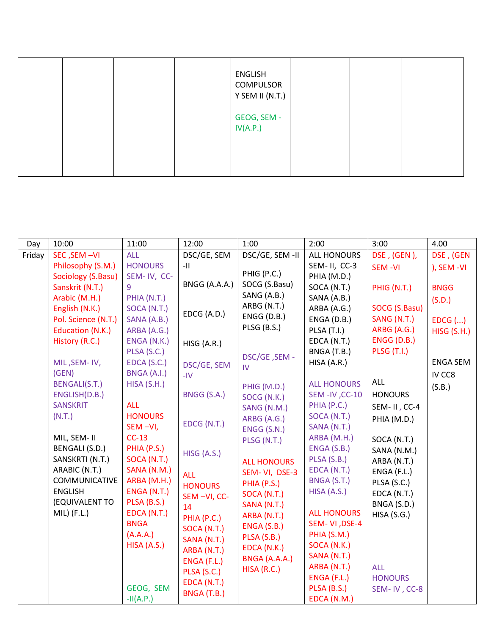|  |  | <b>ENGLISH</b><br>COMPULSOR<br>Y SEM II (N.T.) |  |  |
|--|--|------------------------------------------------|--|--|
|  |  | GEOG, SEM -<br>IV(A.P.)                        |  |  |
|  |  |                                                |  |  |

| Day    | 10:00                 | 11:00          | 12:00          | 1:00               | 2:00               | 3:00               | 4.00               |
|--------|-----------------------|----------------|----------------|--------------------|--------------------|--------------------|--------------------|
| Friday | SEC, SEM-VI           | <b>ALL</b>     | DSC/GE, SEM    | DSC/GE, SEM -II    | <b>ALL HONOURS</b> | DSE, (GEN),        | DSE, (GEN          |
|        | Philosophy (S.M.)     | <b>HONOURS</b> | -11            |                    | SEM-II, CC-3       | <b>SEM-VI</b>      | ), SEM -VI         |
|        | Sociology (S.Basu)    | SEM-IV, CC-    |                | PHIG (P.C.)        | PHIA (M.D.)        |                    |                    |
|        | Sanskrit (N.T.)       | 9              | BNGG (A.A.A.)  | SOCG (S.Basu)      | SOCA (N.T.)        | PHIG (N.T.)        | <b>BNGG</b>        |
|        | Arabic (M.H.)         | PHIA (N.T.)    |                | SANG (A.B.)        | SANA (A.B.)        |                    | (S.D.)             |
|        | English (N.K.)        | SOCA (N.T.)    | EDCG (A.D.)    | ARBG (N.T.)        | ARBA (A.G.)        | SOCG (S.Basu)      |                    |
|        | Pol. Science (N.T.)   | SANA (A.B.)    |                | ENGG (D.B.)        | ENGA (D.B.)        | SANG (N.T.)        | $EDCG$ $()$        |
|        | Education (N.K.)      | ARBA (A.G.)    |                | PLSG (B.S.)        | PLSA (T.I.)        | ARBG (A.G.)        | <b>HISG (S.H.)</b> |
|        | History (R.C.)        | ENGA (N.K.)    | HISG (A.R.)    |                    | EDCA (N.T.)        | <b>ENGG (D.B.)</b> |                    |
|        |                       | PLSA (S.C.)    |                | DSC/GE, SEM -      | BNGA (T.B.)        | <b>PLSG (T.I.)</b> |                    |
|        | MIL, SEM-IV,          | EDCA (S.C.)    | DSC/GE, SEM    | IV                 | HISA (A.R.)        |                    | <b>ENGA SEM</b>    |
|        | (GEN)                 | BNGA (A.I.)    | $-IV$          |                    |                    |                    | IV CC8             |
|        | BENGALI(S.T.)         | HISA(S.H.)     |                | PHIG (M.D.)        | <b>ALL HONOURS</b> | <b>ALL</b>         | (S.B.)             |
|        | ENGLISH(D.B.)         |                | BNGG (S.A.)    | SOCG (N.K.)        | SEM -IV, CC-10     | <b>HONOURS</b>     |                    |
|        | <b>SANSKRIT</b>       | <b>ALL</b>     |                | SANG (N.M.)        | PHIA (P.C.)        | SEM-II, CC-4       |                    |
|        | (N.T.)                | <b>HONOURS</b> | EDCG (N.T.)    | ARBG (A.G.)        | SOCA (N.T.)        | PHIA (M.D.)        |                    |
|        |                       | SEM-VI,        |                | ENGG (S.N.)        | SANA (N.T.)        |                    |                    |
|        | MIL, SEM- II          | $CC-13$        |                | PLSG (N.T.)        | ARBA (M.H.)        | SOCA (N.T.)        |                    |
|        | <b>BENGALI (S.D.)</b> | PHIA (P.S.)    | HISG (A.S.)    |                    | ENGA (S.B.)        | SANA (N.M.)        |                    |
|        | SANSKRTI (N.T.)       | SOCA (N.T.)    |                | <b>ALL HONOURS</b> | PLSA (S.B.)        | ARBA (N.T.)        |                    |
|        | ARABIC (N.T.)         | SANA (N.M.)    | <b>ALL</b>     | SEM-VI, DSE-3      | EDCA (N.T.)        | ENGA (F.L.)        |                    |
|        | COMMUNICATIVE         | ARBA (M.H.)    | <b>HONOURS</b> | PHIA (P.S.)        | BNGA (S.T.)        | PLSA (S.C.)        |                    |
|        | <b>ENGLISH</b>        | ENGA (N.T.)    | SEM-VI, CC-    | SOCA (N.T.)        | HISA (A.S.)        | EDCA (N.T.)        |                    |
|        | (EQUIVALENT TO        | PLSA (B.S.)    | 14             | SANA (N.T.)        |                    | BNGA (S.D.)        |                    |
|        | $MIL)$ (F.L.)         | EDCA (N.T.)    | PHIA (P.C.)    | ARBA (N.T.)        | <b>ALL HONOURS</b> | HISA(S.G.)         |                    |
|        |                       | <b>BNGA</b>    | SOCA (N.T.)    | ENGA (S.B.)        | SEM-VI, DSE-4      |                    |                    |
|        |                       | (A.A.A.)       | SANA (N.T.)    | PLSA (S.B.)        | PHIA (S.M.)        |                    |                    |
|        |                       | HISA (A.S.)    | ARBA (N.T.)    | EDCA (N.K.)        | SOCA (N.K.)        |                    |                    |
|        |                       |                | ENGA (F.L.)    | BNGA (A.A.A.)      | SANA (N.T.)        |                    |                    |
|        |                       |                | PLSA (S.C.)    | HISA(R.C.)         | ARBA (N.T.)        | <b>ALL</b>         |                    |
|        |                       | GEOG, SEM      | EDCA (N.T.)    |                    | ENGA (F.L.)        | <b>HONOURS</b>     |                    |
|        |                       |                | BNGA (T.B.)    |                    | PLSA (B.S.)        | SEM-IV, CC-8       |                    |
|        |                       | $-H(A.P.)$     |                |                    | EDCA (N.M.)        |                    |                    |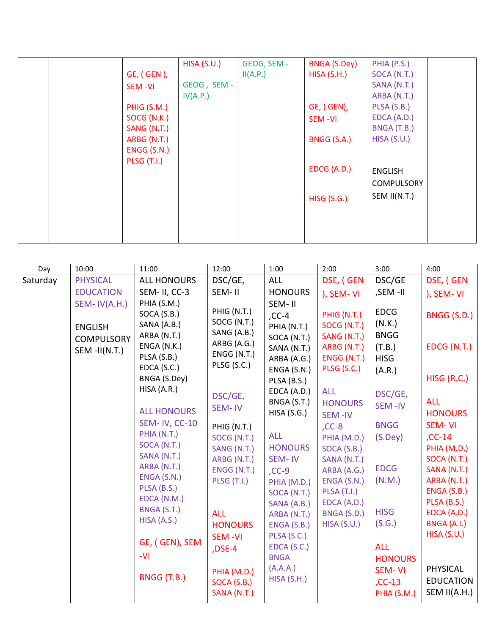|                    | HISA(S.U.)  | GEOG, SEM - | BNGA (S.Dey)  | PHIA (P.S.)       |  |
|--------------------|-------------|-------------|---------------|-------------------|--|
| GE, ( GEN ),       |             | II(A.P.)    | HISA(S.H.)    | SOCA (N.T.)       |  |
| SEM-VI             | GEOG, SEM - |             |               | SANA (N.T.)       |  |
|                    | IV(A.P.)    |             |               | ARBA (N.T.)       |  |
| PHIG (S.M.)        |             |             | GE, (GEN),    | PLSA (S.B.)       |  |
| SOCG (N.K.)        |             |             | <b>SEM-VI</b> | EDCA (A.D.)       |  |
| SANG (N.T.)        |             |             |               | BNGA (T.B.)       |  |
| ARBG (N.T.)        |             |             | BNGG (S.A.)   | HISA(S.U.)        |  |
| ENGG (S.N.)        |             |             |               |                   |  |
| <b>PLSG (T.I.)</b> |             |             |               |                   |  |
|                    |             |             | EDCG (A.D.)   | <b>ENGLISH</b>    |  |
|                    |             |             |               | <b>COMPULSORY</b> |  |
|                    |             |             | HISG(S.G.)    | SEM II(N.T.)      |  |
|                    |             |             |               |                   |  |
|                    |             |             |               |                   |  |
|                    |             |             |               |                   |  |
|                    |             |             |               |                   |  |

| Saturday<br>DSE, (GEN<br>DSC/GE<br><b>PHYSICAL</b><br><b>ALL HONOURS</b><br>DSC/GE,<br>ALL<br><b>HONOURS</b><br><b>EDUCATION</b><br>SEM- II, CC-3<br>SEM-II<br>,SEM-II<br>), SEM-VI<br>PHIA (S.M.)<br>SEM-IV(A.H.)<br>SEM-II<br>PHIG (N.T.)<br><b>EDCG</b><br>SOCA (S.B.)<br>PHIG (N.T.)<br>$CC-4$<br>SOCG (N.T.)<br>(N.K.)<br>SANA (A.B.)<br>SOCG (N.T.)<br>PHIA (N.T.)<br><b>ENGLISH</b>                                                                                                                                                                                                                                                                                                                                                                                                                                                                                                                                                                                                                                                                                                                                                                                                                                                                                                                                                                                                                                                                                    | DSE, (GEN<br>), SEM-VI<br><b>BNGG (S.D.)</b>                                                                                                                                                                                                                                         |
|-------------------------------------------------------------------------------------------------------------------------------------------------------------------------------------------------------------------------------------------------------------------------------------------------------------------------------------------------------------------------------------------------------------------------------------------------------------------------------------------------------------------------------------------------------------------------------------------------------------------------------------------------------------------------------------------------------------------------------------------------------------------------------------------------------------------------------------------------------------------------------------------------------------------------------------------------------------------------------------------------------------------------------------------------------------------------------------------------------------------------------------------------------------------------------------------------------------------------------------------------------------------------------------------------------------------------------------------------------------------------------------------------------------------------------------------------------------------------------|--------------------------------------------------------------------------------------------------------------------------------------------------------------------------------------------------------------------------------------------------------------------------------------|
|                                                                                                                                                                                                                                                                                                                                                                                                                                                                                                                                                                                                                                                                                                                                                                                                                                                                                                                                                                                                                                                                                                                                                                                                                                                                                                                                                                                                                                                                               |                                                                                                                                                                                                                                                                                      |
|                                                                                                                                                                                                                                                                                                                                                                                                                                                                                                                                                                                                                                                                                                                                                                                                                                                                                                                                                                                                                                                                                                                                                                                                                                                                                                                                                                                                                                                                               |                                                                                                                                                                                                                                                                                      |
| SANG (A.B.)<br><b>BNGG</b><br>ARBA (N.T.)<br>SANG (N.T.)<br>SOCA (N.T.)<br><b>COMPULSORY</b><br>ARBG (A.G.)<br>ENGA (N.K.)<br>ARBG (N.T.)<br>(T.B.)<br>SANA (N.T.)<br>SEM-II(N.T.)<br>ENGG (N.T.)<br>PLSA (S.B.)<br>ENGG (N.T.)<br><b>HISG</b><br>ARBA (A.G.)<br>PLSG (S.C.)<br>EDCA (S.C.)<br>PLSG (S.C.)<br>ENGA (S.N.)<br>(A.R.)<br>BNGA (S.Dey)<br>PLSA (B.S.)<br>HISA (A.R.)<br>EDCA (A.D.)<br><b>ALL</b><br>DSC/GE,<br>DSC/GE,<br>BNGA (S.T.)<br><b>HONOURS</b><br>SEM-IV<br>SEM-IV<br><b>ALL HONOURS</b><br>HISA(S.G.)<br><b>SEM-IV</b><br><b>SEM-IV, CC-10</b><br><b>BNGG</b><br>$CC-8$<br>PHIG (N.T.)<br>PHIA (N.T.)<br><b>ALL</b><br>(S.Dey)<br>SOCG (N.T.)<br>PHIA (M.D.)<br>SOCA (N.T.)<br><b>HONOURS</b><br>SANG (N.T.)<br>SOCA (S.B.)<br>SANA (N.T.)<br>ARBG (N.T.)<br>SEM-IV<br>SANA (N.T.)<br>ARBA (N.T.)<br><b>EDCG</b><br>ENGG (N.T.)<br>ARBA (A.G.)<br>$CC-9$<br>ENGA (S.N.)<br>(N.M.)<br><b>PLSG (T.I.)</b><br>ENGA (S.N.)<br>PHIA (M.D.)<br>PLSA (B.S.)<br>PLSA (T.I.)<br>SOCA (N.T.)<br>EDCA (N.M.)<br>EDCA (A.D.)<br>SANA (A.B.)<br>BNGA (S.T.)<br><b>HISG</b><br><b>ALL</b><br>BNGA (S.D.)<br>ARBA (N.T.)<br>HISA (A.S.)<br>(S.G.)<br>HISA(S.U.)<br><b>HONOURS</b><br>ENGA (S.B.)<br>PLSA (S.C.)<br><b>SEM-VI</b><br>GE, (GEN), SEM<br>EDCA (S.C.)<br><b>ALL</b><br>,DSE-4<br>$-VI$<br><b>BNGA</b><br><b>HONOURS</b><br>(A.A.A.)<br><b>SEM-VI</b><br>PHIA (M.D.)<br>BNGG (T.B.)<br>HISA(S.H.)<br>$CC-13$<br>SOCA (S.B.)<br>SANA (N.T.)<br>PHIA (S.M.) | EDCG (N.T.)<br>HISG (R.C.)<br><b>ALL</b><br><b>HONOURS</b><br>SEM-VI<br>$CC-14$<br>PHIA (M.D.)<br>SOCA (N.T.)<br>SANA (N.T.)<br>ARBA (N.T.)<br>ENGA (S.B.)<br>PLSA (B.S.)<br>EDCA (A.D.)<br><b>BNGA (A.I.)</b><br><b>HISA (S.U.)</b><br>PHYSICAL<br><b>EDUCATION</b><br>SEM II(A.H.) |